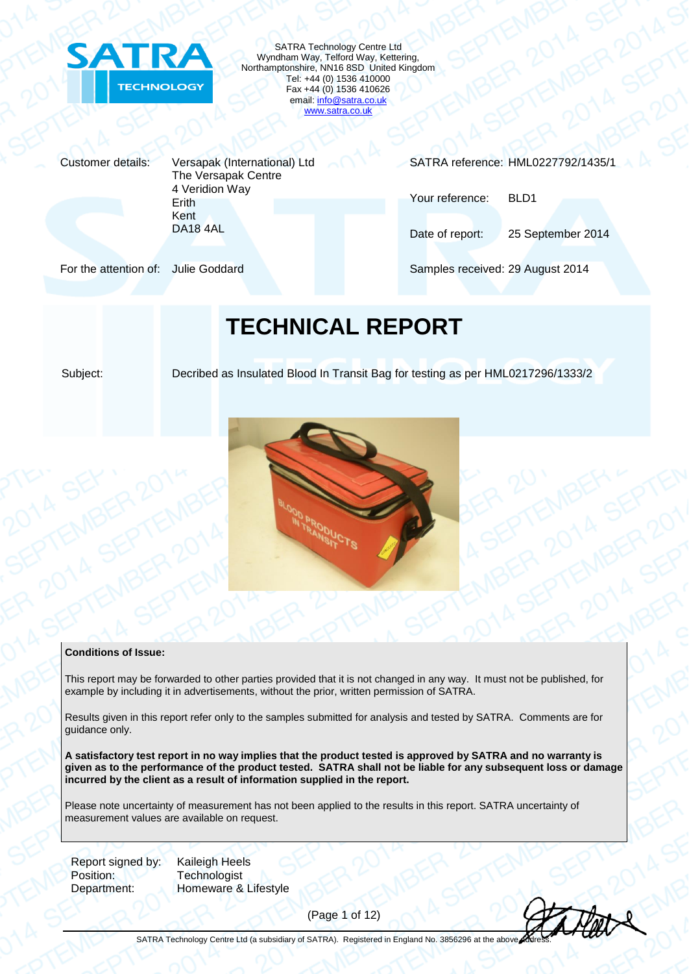

SATRA Technology Centre Ltd Wyndham Way, Telford Way, Kettering, Northamptonshire, NN16 8SD United Kingdom Tel: +44 (0) 1536 410000 Fax +44 (0) 1536 410626 email[: info@satra.co.uk](mailto:info@satra.co.uk) [www.satra.co.uk](http://www.satra.co.uk/)

Customer details: Versapak (International) Ltd The Versapak Centre 4 Veridion Way Erith Kent DA18 4AL

SATRA reference: HML0227792/1435/1

Your reference: BLD1

Date of report: 25 September 2014

For the attention of: Julie Goddard Samples received: 29 August 2014

## **TECHNICAL REPORT**

Subject: Decribed as Insulated Blood In Transit Bag for testing as per HML0217296/1333/2



#### **Conditions of Issue:**

This report may be forwarded to other parties provided that it is not changed in any way. It must not be published, for example by including it in advertisements, without the prior, written permission of SATRA.

Results given in this report refer only to the samples submitted for analysis and tested by SATRA. Comments are for guidance only.

**A satisfactory test report in no way implies that the product tested is approved by SATRA and no warranty is given as to the performance of the product tested. SATRA shall not be liable for any subsequent loss or damage incurred by the client as a result of information supplied in the report.**

Please note uncertainty of measurement has not been applied to the results in this report. SATRA uncertainty of measurement values are available on request.

Report signed by: Kaileigh Heels Position: Technologist

Department: Homeware & Lifestyle

(Page 1 of 12)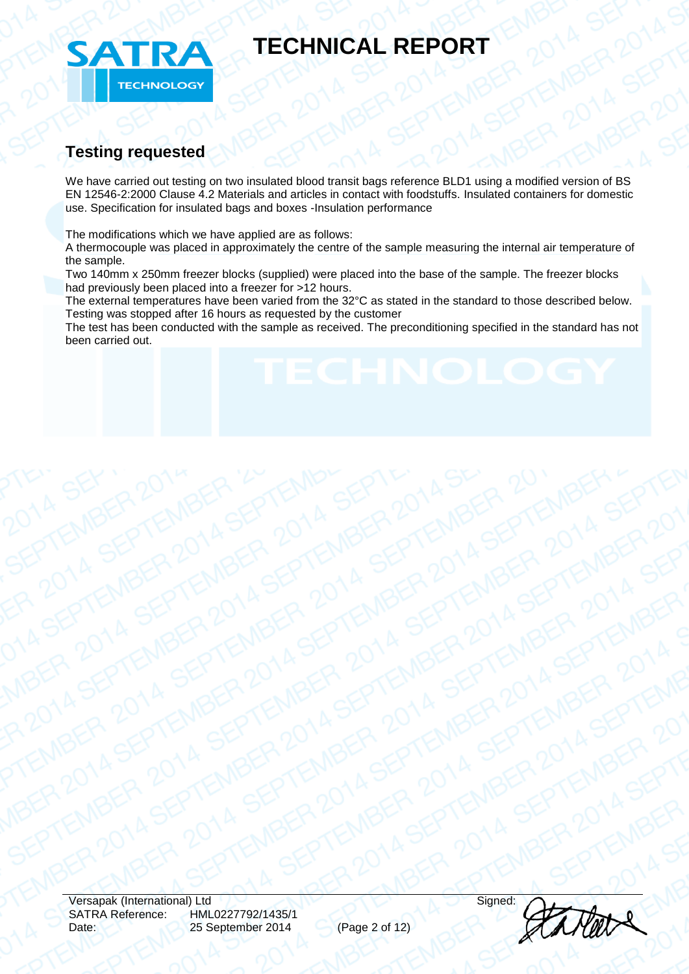

### **Testing requested**

We have carried out testing on two insulated blood transit bags reference BLD1 using a modified version of BS EN 12546-2:2000 Clause 4.2 Materials and articles in contact with foodstuffs. Insulated containers for domestic use. Specification for insulated bags and boxes -Insulation performance

The modifications which we have applied are as follows:

A thermocouple was placed in approximately the centre of the sample measuring the internal air temperature of the sample.

Two 140mm x 250mm freezer blocks (supplied) were placed into the base of the sample. The freezer blocks had previously been placed into a freezer for >12 hours.

The external temperatures have been varied from the 32°C as stated in the standard to those described below. Testing was stopped after 16 hours as requested by the customer

The test has been conducted with the sample as received. The preconditioning specified in the standard has not been carried out.

Versapak (International) Ltd Signed: SATRA Reference: HML0227792/1435/1 25 September 2014 (Page 2 of 12)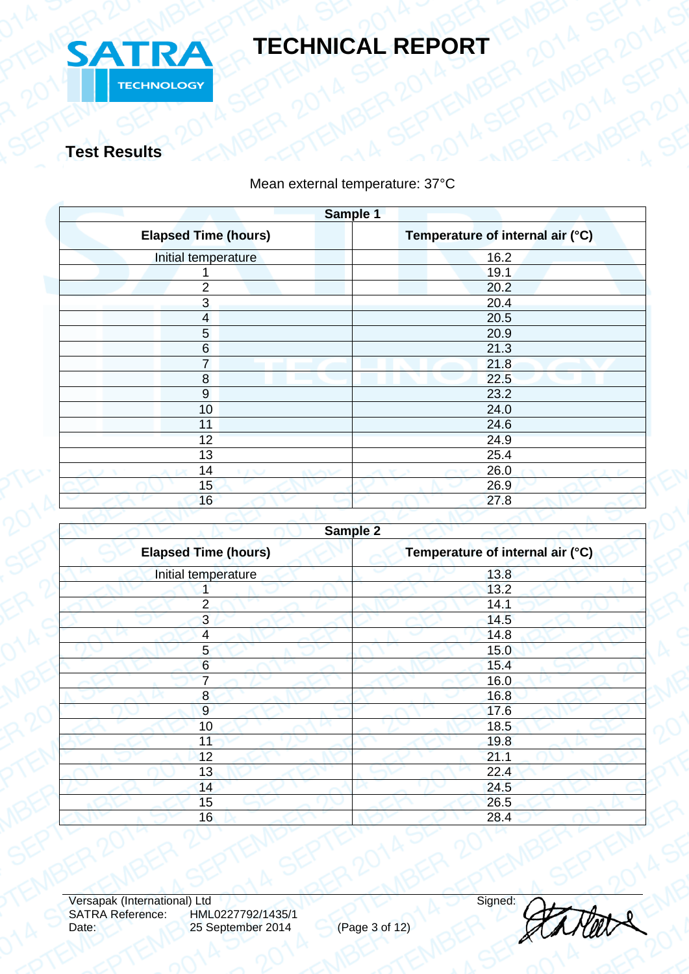

**Test Results**

### Mean external temperature: 37°C

| Sample 1                    |                                  |  |  |  |
|-----------------------------|----------------------------------|--|--|--|
| <b>Elapsed Time (hours)</b> | Temperature of internal air (°C) |  |  |  |
| Initial temperature         | 16.2                             |  |  |  |
|                             | 19.1                             |  |  |  |
| $\overline{2}$              | 20.2                             |  |  |  |
| $\mathbf{3}$                | 20.4                             |  |  |  |
| $\overline{\mathbf{4}}$     | 20.5                             |  |  |  |
| 5                           | 20.9                             |  |  |  |
| 6                           | 21.3                             |  |  |  |
| $\overline{7}$              | 21.8                             |  |  |  |
| 8                           | 22.5                             |  |  |  |
| 9                           | 23.2                             |  |  |  |
| 10                          | 24.0                             |  |  |  |
| 11                          | 24.6                             |  |  |  |
| 12                          | 24.9                             |  |  |  |
| 13                          | 25.4                             |  |  |  |
| 14<br>いいつ                   | 26.0<br>いへい<br>×<br>×            |  |  |  |
| 15                          | 26.9                             |  |  |  |
| 16                          | 27.8                             |  |  |  |
|                             |                                  |  |  |  |

| Sample 2                    |                                  |  |
|-----------------------------|----------------------------------|--|
| <b>Elapsed Time (hours)</b> | Temperature of internal air (°C) |  |
| Initial temperature         | 13.8                             |  |
|                             | 13.2                             |  |
| $\overline{2}$              | 14.1                             |  |
| $\overline{3}$              | 14.5                             |  |
| $\overline{4}$              | 14.8                             |  |
| 5 <sub>5</sub>              | 15.0                             |  |
| $6\phantom{a}$              | 15.4                             |  |
| 7                           | 16.0                             |  |
| 8                           | 16.8                             |  |
| 9                           | 17.6                             |  |
| 10                          | 18.5                             |  |
| 11                          | 19.8                             |  |
| 12                          | 21.1                             |  |
| 13                          | 22.4                             |  |
| 14                          | 24.5                             |  |
| 15                          | 26.5                             |  |
| 16                          | 28.4                             |  |
|                             |                                  |  |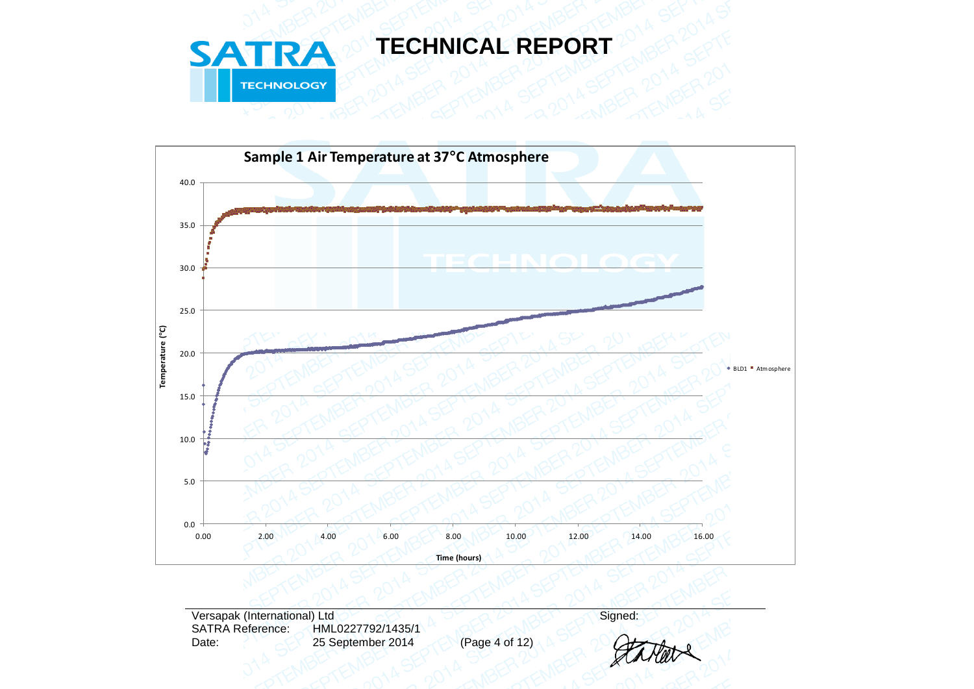



Versapak (International) Ltd<br>SATRA Reference: HML0227792/1435/1 SATRA Reference: HML0227792/1435/1<br>Date: 25 September 2014 25 September 2014 (Page 4 of 12)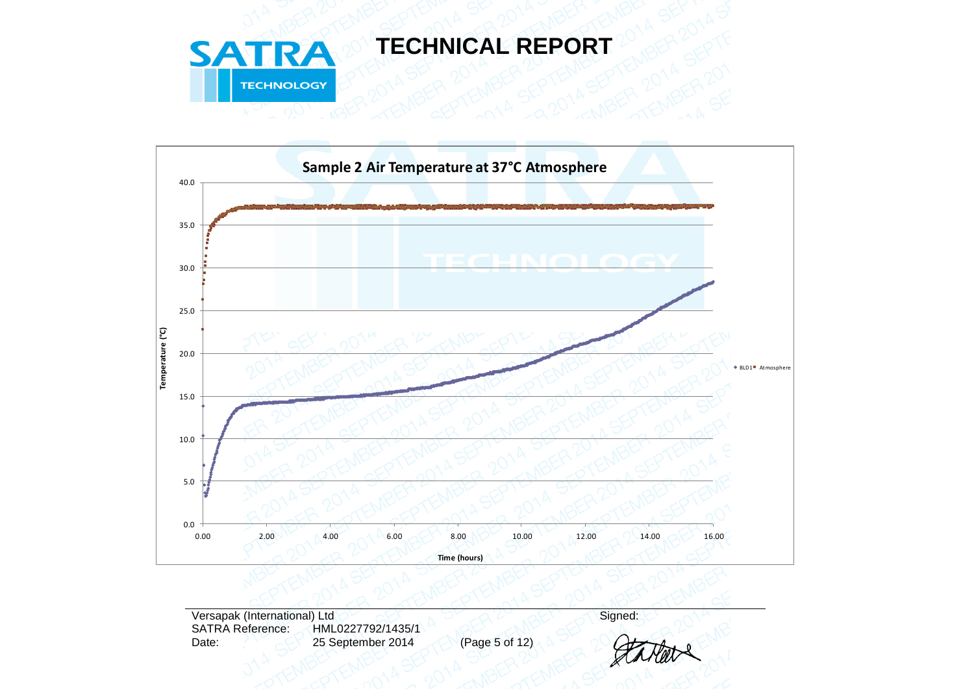



Versapak (International) Ltd<br>SATRA Reference: HML0227792/1435/1 SATRA Reference: HML0227792/1435/1<br>Date: 25 September 2014 25 September 2014 (Page 5 of 12)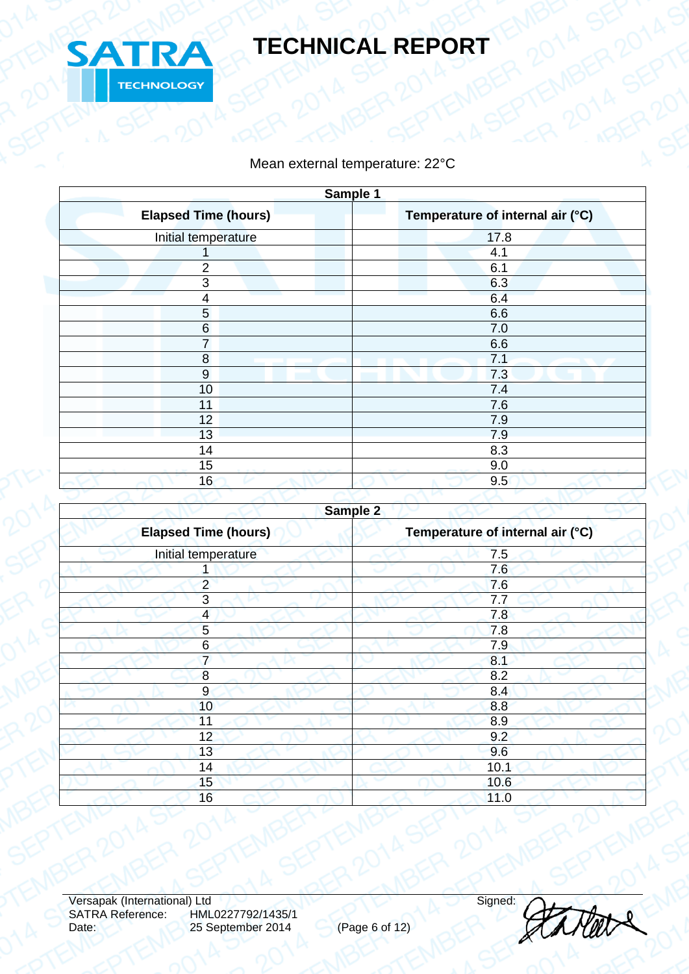

### Mean external temperature: 22°C

| Sample 1                    |                                  |  |  |  |
|-----------------------------|----------------------------------|--|--|--|
| <b>Elapsed Time (hours)</b> | Temperature of internal air (°C) |  |  |  |
| Initial temperature         | 17.8                             |  |  |  |
|                             | 4.1                              |  |  |  |
| $\overline{2}$              | 6.1                              |  |  |  |
| 3                           | 6.3                              |  |  |  |
| $\overline{\mathbf{4}}$     | 6.4                              |  |  |  |
| 5                           | 6.6                              |  |  |  |
| $6\phantom{1}6$             | 7.0                              |  |  |  |
| $\overline{7}$              | 6.6                              |  |  |  |
| 8                           | 7.1                              |  |  |  |
| $9\,$                       | 7.3                              |  |  |  |
| 10                          | 7.4                              |  |  |  |
| 11                          | 7.6                              |  |  |  |
| 12                          | 7.9                              |  |  |  |
| 13                          | 7.9                              |  |  |  |
| 14                          | 8.3                              |  |  |  |
| 15                          | 9.0                              |  |  |  |
| 16                          | 9.5                              |  |  |  |
|                             |                                  |  |  |  |

|                             | Sample 2                         |
|-----------------------------|----------------------------------|
| <b>Elapsed Time (hours)</b> | Temperature of internal air (°C) |
| Initial temperature         | 7.5                              |
|                             | 7.6                              |
| $\overline{2}$              | 7.6                              |
| 3                           | 7.7                              |
| $\overline{4}$              | 7.8                              |
| 5                           | 7.8                              |
| 6                           | 7.9                              |
| $\overline{7}$              | 8.1                              |
| 8                           | 8.2                              |
| $\overline{9}$              | 8.4                              |
| 10                          | 8.8                              |
| 11                          | 8.9                              |
| 12                          | 9.2                              |
| 13                          | 9.6                              |
| 14                          | 10.1                             |
| 15                          | 10.6                             |
| 16                          | 11.0                             |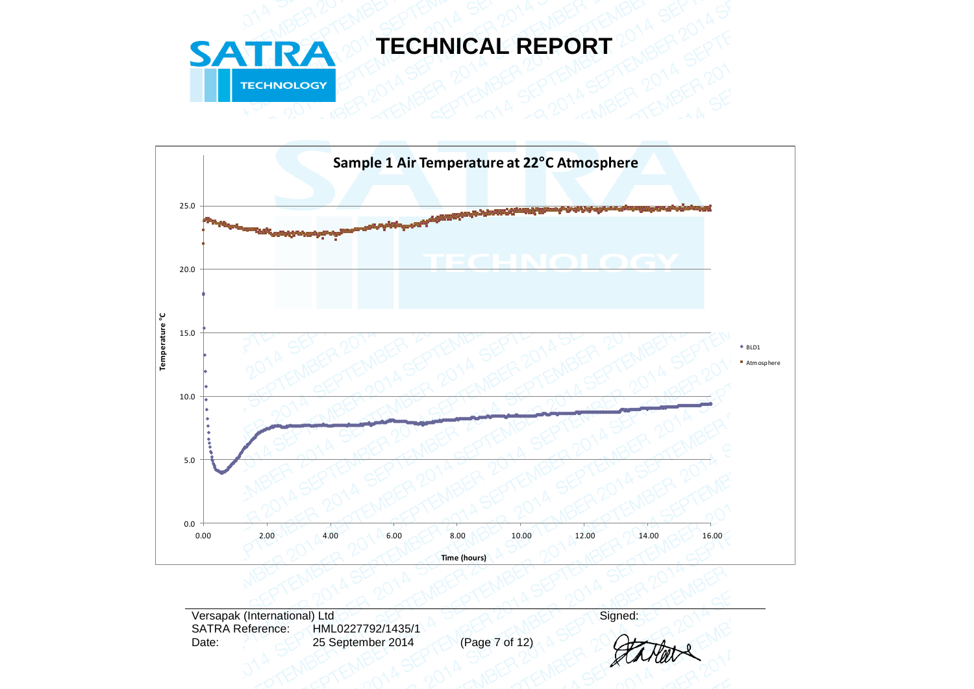



Versapak (International) Ltd<br>SATRA Reference: HML0227792/1435/1 SATRA Reference: HML0227792/1435/1<br>Date: 25 September 2014 25 September 2014 (Page 7 of 12)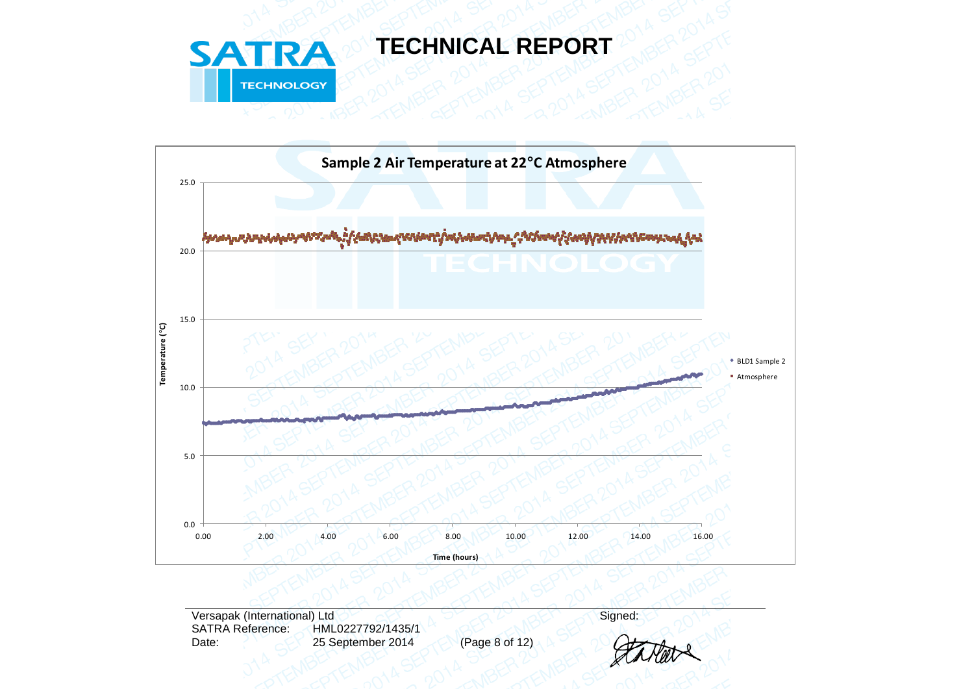



Versapak (International) Ltd<br>SATRA Reference: HML0227792/1435/1 SATRA Reference: HML0227792/1435/1<br>Date: 25 September 2014 25 September 2014 (Page 8 of 12)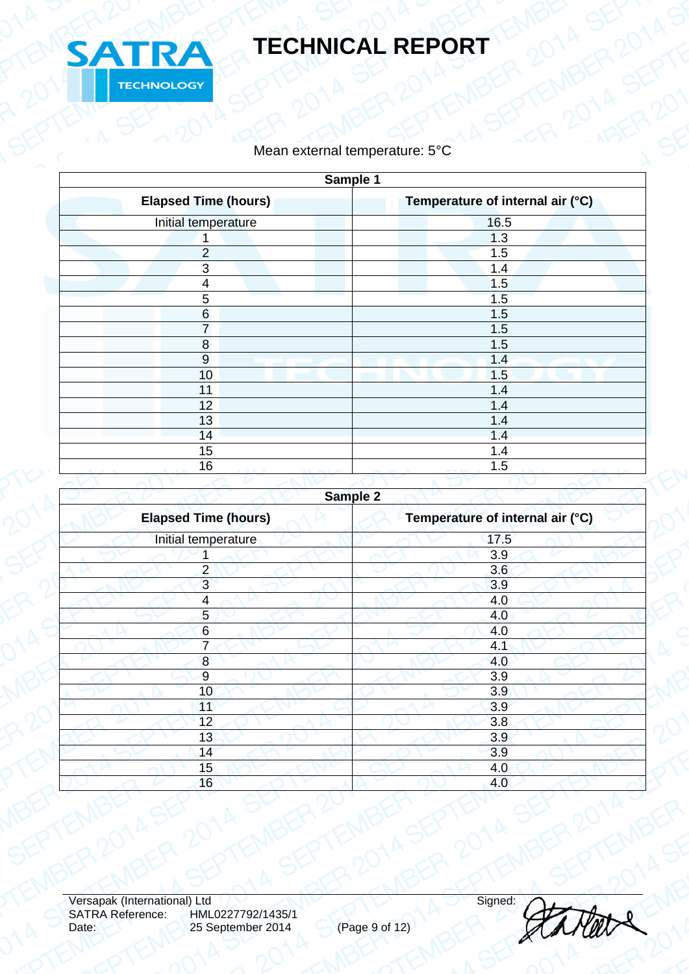

### Mean external temperature: 5°C

| Sample 1                    |                                  |  |  |
|-----------------------------|----------------------------------|--|--|
| <b>Elapsed Time (hours)</b> | Temperature of internal air (°C) |  |  |
| Initial temperature         | 16.5                             |  |  |
| 1                           | 1.3                              |  |  |
| $\overline{2}$              | 1.5                              |  |  |
| $\mathbf{3}$                | 1.4                              |  |  |
| $\overline{\mathbf{4}}$     | 1.5                              |  |  |
| 5                           | 1.5                              |  |  |
| $\,6$                       | 1.5                              |  |  |
| $\overline{7}$              | 1.5                              |  |  |
| $\bf 8$                     | 1.5                              |  |  |
| $9\,$                       | 1.4                              |  |  |
| 10                          | 1.5                              |  |  |
| 11                          | 1.4                              |  |  |
| 12                          | 1.4                              |  |  |
| 13                          | 1.4                              |  |  |
| 14                          | 1.4                              |  |  |
| 15                          | 1.4                              |  |  |
| 16                          | 1.5                              |  |  |
|                             |                                  |  |  |

| <b>Elapsed Time (hours)</b> | Temperature of internal air (°C) |  |
|-----------------------------|----------------------------------|--|
| Initial temperature         | 17.5                             |  |
|                             | 3.9                              |  |
| $\overline{2}$              | 3.6                              |  |
| 3                           | 3.9                              |  |
| 4                           | 4.0                              |  |
| $5\overline{)}$             | 4.0                              |  |
| $6\phantom{1}6$             | 4.0                              |  |
| 7                           | 4.1                              |  |
| $\boldsymbol{8}$            | 4.0                              |  |
| 9                           | 3.9                              |  |
| 10                          | 3.9                              |  |
| 11                          | 3.9                              |  |
| 12                          | 3.8                              |  |
| 13                          | 3.9                              |  |
| 14                          | 3.9                              |  |
| 15                          | 4.0                              |  |
| 16                          | 4.0                              |  |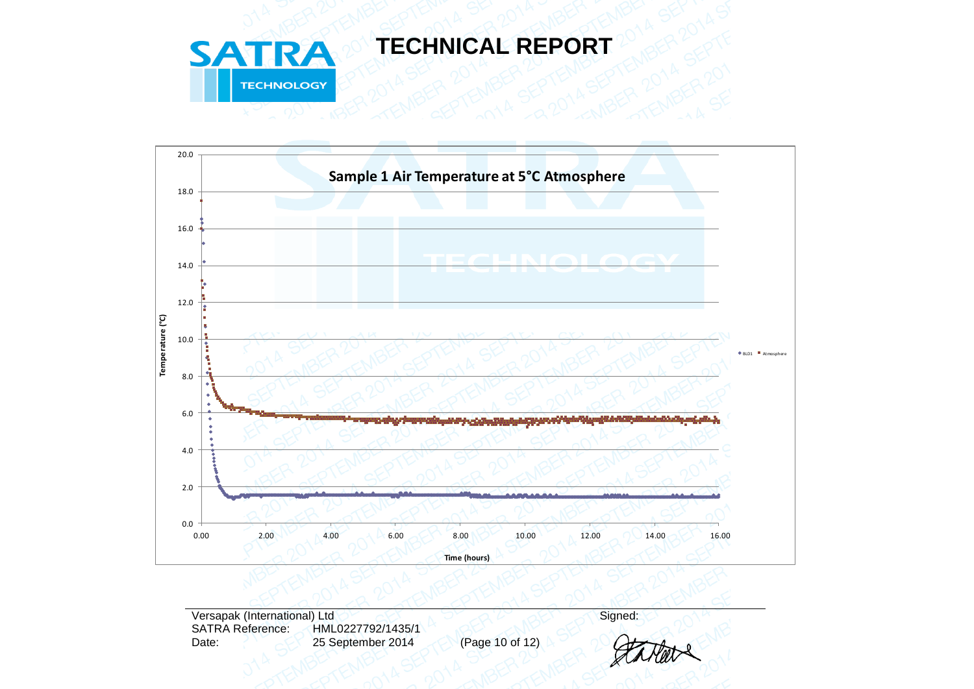



Versapak (International) Ltd<br>SATRA Reference: HML0227792/1435/1 SATRA Reference: HML0227792/1435/1<br>Date: 25 September 2014 25 September 2014 (Page 10 of 12)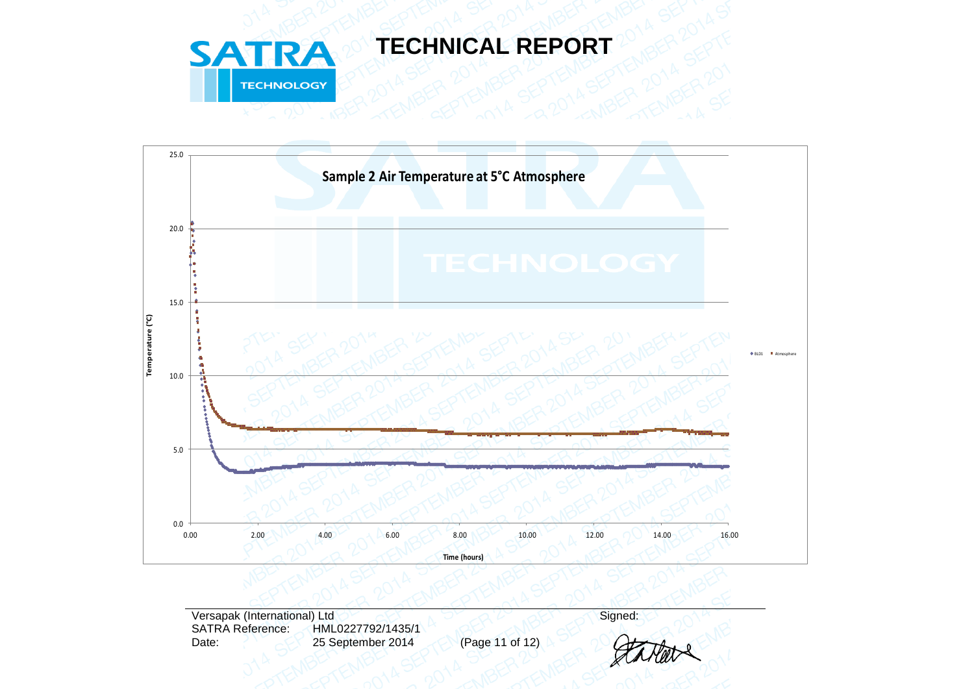



Versapak (International) Ltd<br>SATRA Reference: HML0227792/1435/1 HML0227792/1435/1 Date: 25 September 2014 (Page 11 of 12)